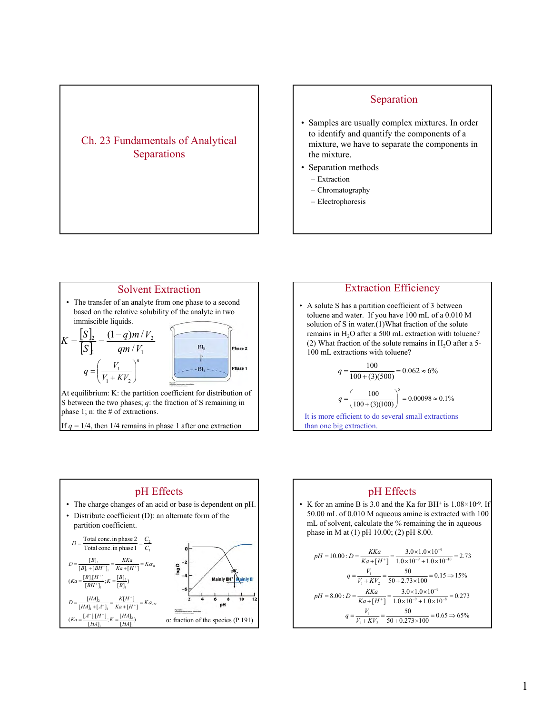# Ch. 23 Fundamentals of Analytical Separations

## Separation

- Samples are usually complex mixtures. In order to identify and quantify the components of a mixture, we have to separate the components in the mixture.
- Separation methods
	- Extraction
	- Chromatography – Electrophoresis

than one big extraction.

Solvent Extraction • The transfer of an analyte from one phase to a second based on the relative solubility of the analyte in two immiscible liquids.  $K = \frac{S}{I_{\text{c}}-I} = \frac{(1 - I_{\text{c}})}{I_{\text{c}}-I_{\text{c}}}$  $|S|$  $(1-q)m/$  $q$ *m* / *V* 2 2  $[S]_2$  $[S]_1$  qm |  $V_1$ *S*  $qm/V$ / Phase 2 1 *n*  $q = \left(\frac{V_1}{V + KV}\right)$  $=\left(\frac{V_1}{V_1 + KV_2}\right)$ ⎞  $-[S]_1 -$ Phase 1  $\parallel$ 1  $V_1 + KV$ ⎝ ⎠ At equilibrium: K: the partition coefficient for distribution of S between the two phases; *q*: the fraction of S remaining in phase 1; n: the # of extractions. If  $q = 1/4$ , then  $1/4$  remains in phase 1 after one extraction



$$
q = \left(\frac{100}{100 + (3)(100)}\right)^5 = 0.00098 \approx 0.1\%
$$
  
It is more efficient to do several small extractions

pH Effects • The charge changes of an acid or base is dependent on pH. • Distribute coefficient (D): an alternate form of the partition coefficient. 1  $\frac{1}{\text{Total conc. in phase 1}} = \frac{C_2}{C_1}$ Total conc. in phase 2  $D = \frac{\text{Total conc. in phase 2}}{\text{Total conc. in phase 1}} = \frac{C}{C}$  $(Ka = \frac{[B]_1[H^+]}{[BH^+]}; K = \frac{[B]_2}{[B]_1})$  $[B]_1 + [BH^+]_1$   $Ka + [H^+]$  $[B]$ 2 1  $Ka = \frac{[B]_1[H^+]}{[BH^+]_1}$ ;  $K = \frac{[B]}{[B]}$  $1 + \lfloor D11 \rfloor$  $\frac{2}{(3H^+)} = \frac{KKa}{Ka + [H^+]} = K$  $D = \frac{[B]_2}{[B]_1 + [BH^+]_1} = \frac{KKa}{Ka + [H^+]} = Ka_B$ +  $(Ka = \frac{[A^-]_1[H^+]}{[HA]_1}; K = \frac{[HA]_2}{[HA]_1})$  $[H^+]$  $[H^+]$  $[HA]_1 + [A^-]$  $[HA]$ 2 1  $Ka = \frac{[A^-]_1[H^+]}{[HA]_1}$ ;  $K = \frac{[HA]}{[HA]}_1$ 1 T L 4 J1  $\frac{2}{A^{-}} = \frac{K[H^{+}]}{Ka + [H^{+}]} = K$  $D = \frac{[HA]_2}{[HA]_1 + [A^-]_1} = \frac{K[H^+]}{Ka + [H^+]} = Ka_{HA}$  $\frac{K[H^+]}{K} = \frac{K[H^+]}{K \cdot K[H^+]} = K \alpha$ α: fraction of the species (P.191)

### pH Effects

• K for an amine B is 3.0 and the Ka for BH<sup>+</sup> is  $1.08 \times 10^{-9}$ . If 50.00 mL of 0.010 M aqueous amine is extracted with 100 mL of solvent, calculate the % remaining the in aqueous phase in M at (1) pH 10.00; (2) pH 8.00.

$$
pH = 10.00: D = \frac{KKa}{Ka + [H^+]} = \frac{3.0 \times 1.0 \times 10^{-9}}{1.0 \times 10^{-9} + 1.0 \times 10^{-10}} = 2.73
$$
  

$$
q = \frac{V_1}{V_1 + KV_2} = \frac{50}{50 + 2.73 \times 100} = 0.15 \Rightarrow 15\%
$$
  

$$
pH = 8.00: D = \frac{KKa}{Ka + [H^+]} = \frac{3.0 \times 1.0 \times 10^{-9}}{1.0 \times 10^{-9} + 1.0 \times 10^{-8}} = 0.273
$$
  

$$
q = \frac{V_1}{V_1 + KV_2} = \frac{50}{50 + 0.273 \times 100} = 0.65 \Rightarrow 65\%
$$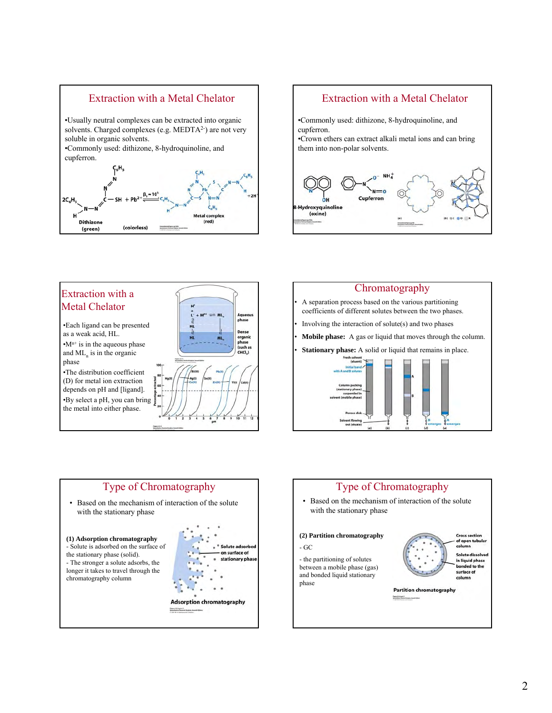









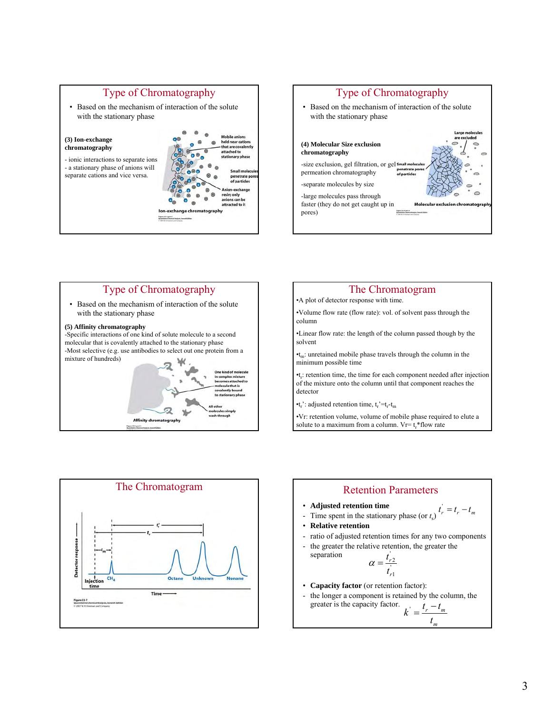







•Vr: retention volume, volume of mobile phase required to elute a solute to a maximum from a column.  $V = t_r * flow$  rate





- **Adjusted retention time**
- **Adjusted retention time**<br>- Time spent in the stationary phase (or  $t_s$ )  $t_r' = t_r t_m$
- **Relative retention**

separation

- ratio of adjusted retention times for any two components
- the greater the relative retention, the greater the

$$
\alpha = \frac{t_{r2}^{'}}{t_{r1}^{'}}
$$

- **Capacity factor** (or retention factor):
- the longer a component is retained by the column, the greater is the capacity factor.  $k^{'} = \frac{t_r - t_m}{t}$

$$
\overline{a}
$$

*m t*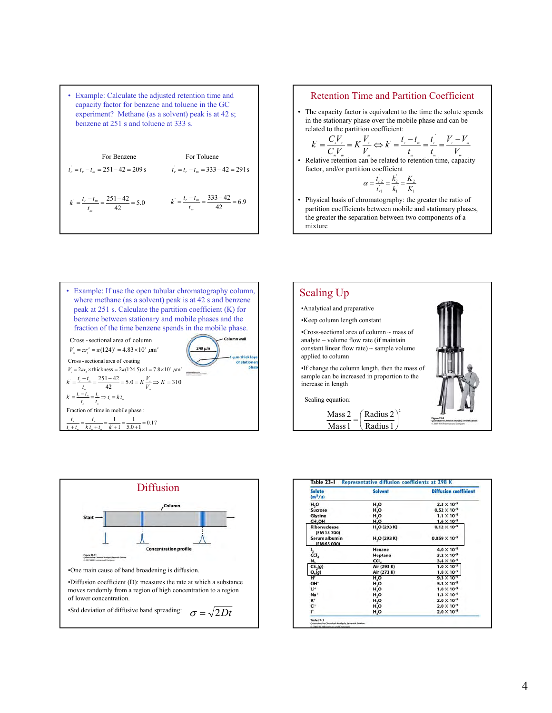

#### Retention Time and Partition Coefficient

• The capacity factor is equivalent to the time the solute spends in the stationary phase over the mobile phase and can be related to the partition coefficient:

$$
k = \frac{CV_x}{C_vV_x} = K\frac{V_x}{V_x} \Leftrightarrow k = \frac{t_x - t_x}{t_x} = \frac{t_x}{t_x} = \frac{V_x - V_x}{V_x}
$$

• Relative retention can be related to retention time, capacity factor, and/or partition coefficient

$$
\alpha = \frac{t_{r2}}{t_{r1}} = \frac{k_2}{k_1} = \frac{K_2}{K_1}
$$

• Physical basis of chromatography: the greater the ratio of partition coefficients between mobile and stationary phases, the greater the separation between two components of a mixture







| Solute<br>$(m^2/s)$          | Solvent                  | <b>Diffusion coefficient</b> |
|------------------------------|--------------------------|------------------------------|
| H,O                          | H,O                      | $2.3 \times 10^{-9}$         |
| Sucrose                      | $H_{2}O$                 | $0.52 \times 10^{-9}$        |
| Glycine                      | H <sub>2</sub> O         | $1.1 \times 10^{-9}$         |
| CH,OH                        | H, O                     | $1.6 \times 10^{-9}$         |
| Ribonuclease<br>(FM 13 700)  | H <sub>2</sub> O (293 K) | $0.12 \times 10^{-9}$        |
| Serum albumin<br>(FM 65 000) | H <sub>2</sub> O (293 K) | $0.059 \times 10^{-9}$       |
|                              | Hexane                   | $4.0 \times 10^{-9}$         |
| $rac{1}{2}$ cci <sub>4</sub> | Heptane                  | $3.2 \times 10^{-9}$         |
| $N_{2}$                      | CCI.                     | $3.4 \times 10^{-9}$         |
| CS <sub>2</sub> (g)          | Air (293 K)              | $1.0 \times 10^{-5}$         |
| $O_2(g)$                     | Air (273 K)              | $1.8 \times 10^{-5}$         |
| Ħ.                           | H <sub>2</sub> O         | $9.3 \times 10^{-9}$         |
| OH-                          | H <sub>2</sub> O         | $5.3 \times 10^{-9}$         |
| Lit                          | H, O                     | $1.0 \times 10^{-9}$         |
| Na <sup>+</sup>              | H <sub>2</sub> O         | $1.3 \times 10^{-9}$         |
| $K^+$                        | H <sub>2</sub> O         | $2.0 \times 10^{-9}$         |
| CI-                          | H, O                     | $2.0 \times 10^{-9}$         |
| ŀ.                           | H <sub>2</sub> O         | $2.0 \times 10^{-9}$         |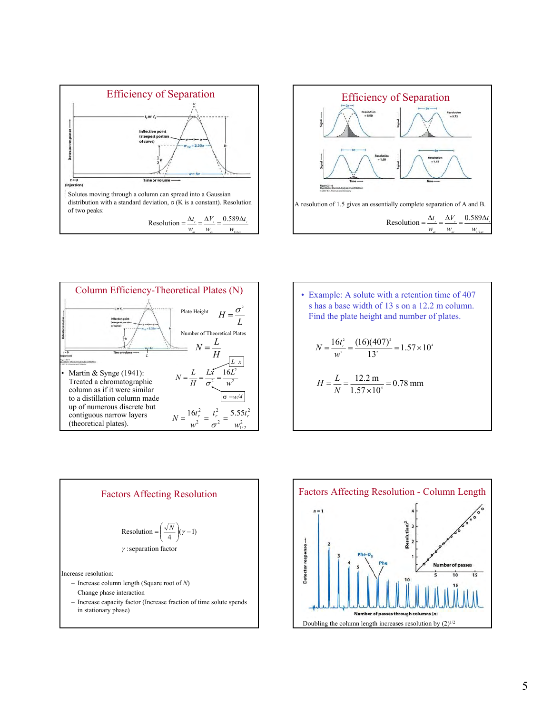





• Example: A solute with a retention time of 407 s has a base width of 13 s on a 12.2 m column.  
Find the plate height and number of plates.  

$$
N = \frac{16t^2}{w^2} = \frac{(16)(407)^2}{13^2} = 1.57 \times 10^4
$$

$$
H = \frac{L}{N} = \frac{12.2 \text{ m}}{1.57 \times 10^4} = 0.78 \text{ mm}
$$



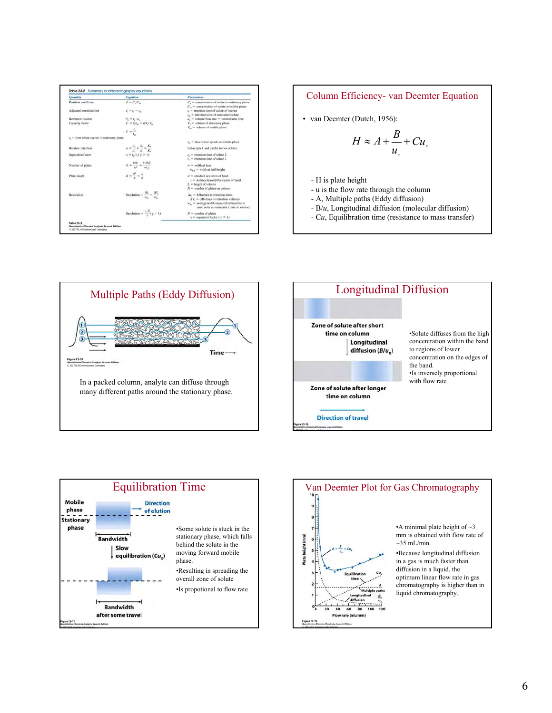| <b>Quantity</b>                                | Equation                                                                                             | <b>Parameters</b>                                                                                                                                                                                  |  |
|------------------------------------------------|------------------------------------------------------------------------------------------------------|----------------------------------------------------------------------------------------------------------------------------------------------------------------------------------------------------|--|
| Partition coefficient                          | $K = C/C_m$                                                                                          | $C_s$ = concentration of solute in stationary phase<br>$C_m$ = concentration of solute in mobile phase                                                                                             |  |
| Adjusted retention time                        | $1.46 - 1.$                                                                                          | $L =$ retention time of solute of interest<br>$L$ = retention time of unretained solute                                                                                                            |  |
| Retention volume                               | $\begin{aligned} V_i &= \tau_i \cdot u_i \\ k' &= \tau_i^{\prime}/\tau_m = KV_* / V_m \end{aligned}$ | $u_{\cdot}$ = volume flow rate = volume/unit time.                                                                                                                                                 |  |
| Capacity factor                                |                                                                                                      | $V_s$ = volume of stationary phase<br>$V_n$ = volume of mobile phase                                                                                                                               |  |
|                                                | $k = \frac{1}{k}$                                                                                    |                                                                                                                                                                                                    |  |
| $t_i$ = time solute spends in stationary phase |                                                                                                      | $t_m$ = time solute spends in mobile phase                                                                                                                                                         |  |
| Relative retention                             | $\alpha = \frac{t'_{\rm cl}}{t'_{\rm cl}} = \frac{k'_2}{k'_1} = \frac{K_2}{K_1}$                     | Subscripts 1 and 2 refer to two solutes                                                                                                                                                            |  |
| Separation factor                              | $= L/L (y > 1)$                                                                                      | $t_2$ = retention time of solute 2<br>$t_1$ = retention time of solute 1                                                                                                                           |  |
| Number of plates                               | $N = \frac{166^2}{w^2} = \frac{5.556^2}{w_{12}^2}$                                                   | $w =$ width at base<br>$w_{1:n} =$ width at half-height                                                                                                                                            |  |
| Plate height                                   | $H = \frac{\sigma^2}{r} = \frac{L}{v}$                                                               | $\sigma =$ standard deviation of band<br>$x$ = distance traveled by center of band<br>$L =$ length of column                                                                                       |  |
|                                                |                                                                                                      | $N =$ number of plates on column                                                                                                                                                                   |  |
| Resolution                                     | Resolution = $\frac{\Delta t_i}{t}$ = $\frac{\Delta V_i}{t}$                                         | $\Delta t_{\rm r}$ = difference in retention times<br>$\Delta V_s$ = difference in retention volumes<br>$w_m$ = average width measured at baseline in<br>same units as numerator (time or volume). |  |
|                                                | Resolution = $\frac{1 N}{4}(\gamma - 1)$                                                             | $N =$ number of plates.<br>$\gamma$ = separation factor ( $\gamma$ > 1)                                                                                                                            |  |



• van Deemter (Dutch, 1956):

$$
H \approx A + \frac{B}{u_x} + Cu_x
$$

- H is plate height
- u is the flow rate through the column
- A, Multiple paths (Eddy diffusion)
- B/*u*, Longitudinal diffusion (molecular diffusion)
- C*u*, Equilibration time (resistance to mass transfer)







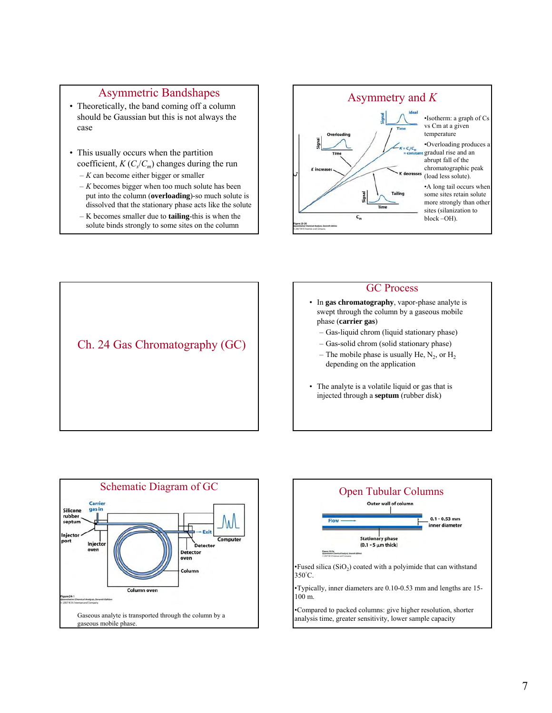## Asymmetric Bandshapes

- Theoretically, the band coming off a column should be Gaussian but this is not always the case
- This usually occurs when the partition coefficient,  $K(C_{s}/C_{m})$  changes during the run – *K* can become either bigger or smaller
	- *K* becomes bigger when too much solute has been put into the column (**overloading**)-so much solute is dissolved that the stationary phase acts like the solute
	- K becomes smaller due to **tailing**-this is when the solute binds strongly to some sites on the column





# GC Process

- In **gas chromatography**, vapor-phase analyte is swept through the column by a gaseous mobile phase (**carrier gas**)
	- Gas-liquid chrom (liquid stationary phase)
	- Gas-solid chrom (solid stationary phase)
	- The mobile phase is usually He,  $N_2$ , or H<sub>2</sub> depending on the application
- The analyte is a volatile liquid or gas that is injected through a **septum** (rubber disk)



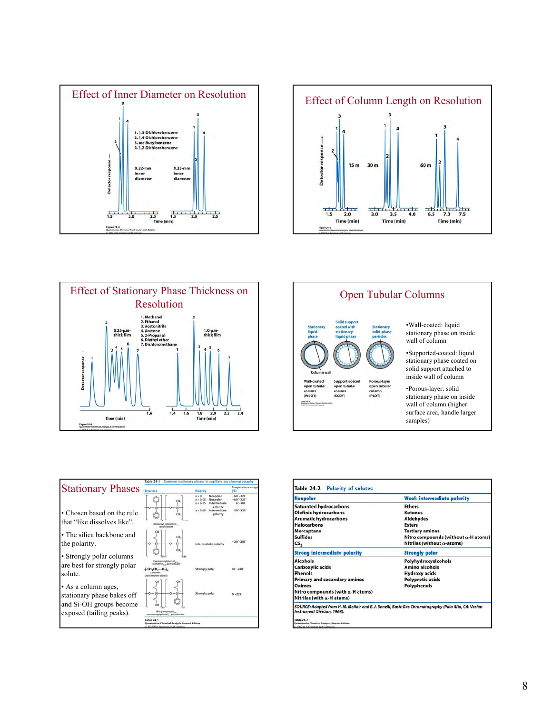









| <b>Ethers</b><br><b>Ketones</b><br><b>Aldehydes</b><br><b>Esters</b>                                 |  |  |
|------------------------------------------------------------------------------------------------------|--|--|
|                                                                                                      |  |  |
|                                                                                                      |  |  |
|                                                                                                      |  |  |
|                                                                                                      |  |  |
| <b>Tertiary amines</b>                                                                               |  |  |
| Nitro compounds (without $\alpha$ -H atoms)                                                          |  |  |
| Nitriles (without $\alpha$ -atoms)                                                                   |  |  |
| <b>Strongly polar</b>                                                                                |  |  |
| Polyhydroxyalcohols                                                                                  |  |  |
| <b>Amino alcohols</b>                                                                                |  |  |
| <b>Hydroxy acids</b>                                                                                 |  |  |
| <b>Polyprotic acids</b>                                                                              |  |  |
| Polyphenols                                                                                          |  |  |
|                                                                                                      |  |  |
|                                                                                                      |  |  |
| SOURCE: Adapted from H. M. McNair and E. J. Bonelli, Basic Gas Chromatography (Palo Alto, CA: Varian |  |  |
|                                                                                                      |  |  |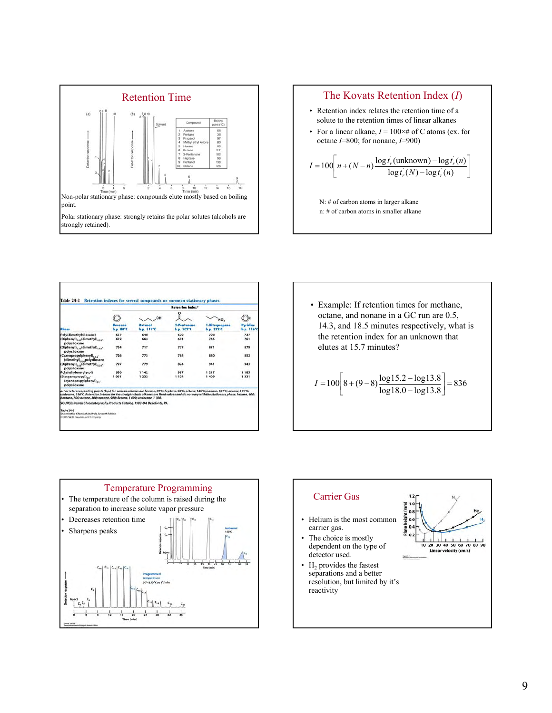



|                                                                                                                                                                                                                                                                                                                                                                    | <b>Retention index*</b> |                       |                                |                                                 |                        |  |
|--------------------------------------------------------------------------------------------------------------------------------------------------------------------------------------------------------------------------------------------------------------------------------------------------------------------------------------------------------------------|-------------------------|-----------------------|--------------------------------|-------------------------------------------------|------------------------|--|
| Phose                                                                                                                                                                                                                                                                                                                                                              | Benzene<br>b.p. 80°C    | OH                    | ٥<br>2-Pentanone<br>b.p. 102°C | NO <sub>2</sub><br>1-Hitropropane<br>b.p. 132°C | Pyridine<br>b.p. 116°C |  |
|                                                                                                                                                                                                                                                                                                                                                                    |                         | Butgnol<br>b.p. 117°C |                                |                                                 |                        |  |
| Poly(dimethylsiloxane)                                                                                                                                                                                                                                                                                                                                             | 657                     | 648                   | 670                            | 708                                             | 737                    |  |
| (Diphenyl) <sub>0.00</sub> (dimethyl) <sub>0.95</sub> -<br>polysiloxane                                                                                                                                                                                                                                                                                            | 672                     | 664                   | 691                            | 745                                             | 761                    |  |
| (Diphenyl) <sub>0.35</sub> (dimethyl) <sub>0.45</sub> -<br>polysiloxane                                                                                                                                                                                                                                                                                            | 754                     | 717                   | 777                            | 871                                             | 879                    |  |
| (Cyanopropylphenyl),<br>(dimethyl), polysiloxane                                                                                                                                                                                                                                                                                                                   | 726                     | 773                   | 784                            | 880                                             | 852                    |  |
| (Diphenyl) <sub>nes</sub> (dimethyl) <sub>n-15</sub> -<br>polysiloxane                                                                                                                                                                                                                                                                                             | 797                     | 779                   | 824                            | 941                                             | 943                    |  |
| Poly(ethylene glycol)                                                                                                                                                                                                                                                                                                                                              | 956                     | 1 142                 | 987                            | 1217                                            | 1 185                  |  |
| (Biscyanopropyl)<br>(cyanopropylphenyl)<br>polysiloxane                                                                                                                                                                                                                                                                                                            | 1061                    | 1 2 3 2               | 1 174                          | 1409                                            | 1331                   |  |
| a. For reference, boiling points (b.p.) for various alkanes are hexane, 69°C; heptane, 98°C; octane, 126°C; nonane, 151°C; decane, 174°C;<br>undecane, 196°C. Retention indexes for the straight-chain alkanes are fixed values and do not vary with the stationary phase: hexane, 600:<br>heptane, 700; octane, 800; nonane, 900; decane, 1 000; undecane, 1 100. |                         |                       |                                |                                                 |                        |  |
| SOURCE: Restek Chromatography Products Catalog, 1993-94, Bellefonte, PA.                                                                                                                                                                                                                                                                                           |                         |                       |                                |                                                 |                        |  |
| <b>Table 24-1</b>                                                                                                                                                                                                                                                                                                                                                  |                         |                       |                                |                                                 |                        |  |

| • Example: If retention times for methane,<br>octane, and nonane in a GC run are 0.5,<br>14.3, and 18.5 minutes respectively, what is<br>the retention index for an unknown that<br>elutes at 15.7 minutes? |
|-------------------------------------------------------------------------------------------------------------------------------------------------------------------------------------------------------------|
| $I = 100 \left[ 8 + (9-8) \frac{\log 15.2 - \log 13.8}{\log 18.0 - \log 13.8} \right] = 836$                                                                                                                |